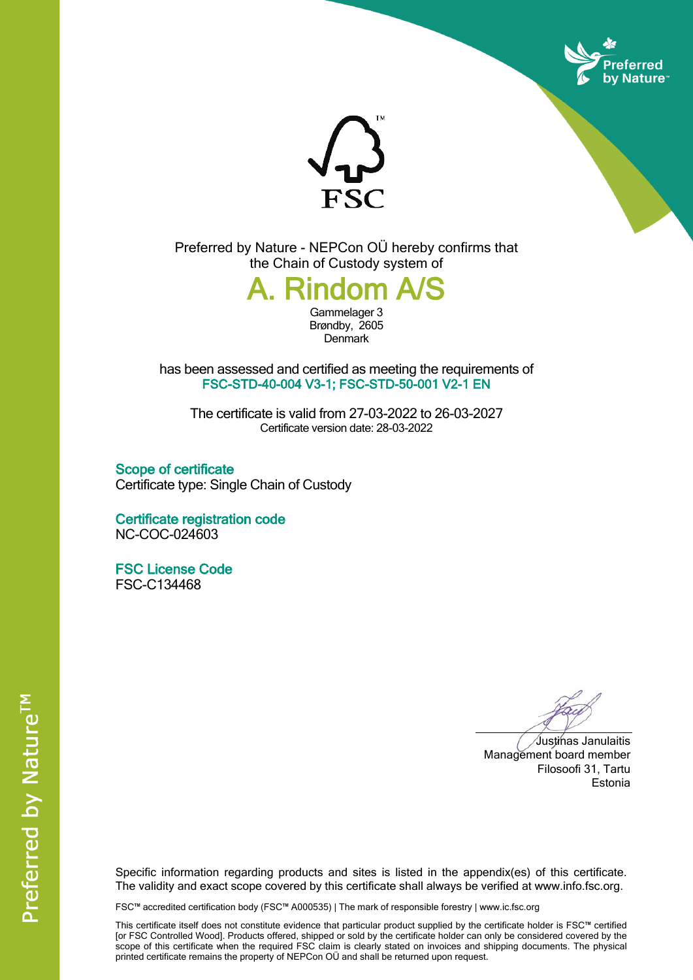



Preferred by Nature - NEPCon OÜ hereby confirms that the Chain of Custody system of



Brøndby, 2605 **Denmark** 

has been assessed and certified as meeting the requirements of **FSC-STD-40-004 V3-1; FSC-STD-50-001 V2-1 EN**

The certificate is valid from 27-03-2022 to 26-03-2027 Certificate version date: 28-03-2022

**Scope of certificate** Certificate type: Single Chain of Custody

**Certificate registration code** NC-COC-024603

**FSC License Code** FSC-C134468

Justinas Janulaitis Management board member Filosoofi 31, Tartu Estonia

Specific information regarding products and sites is listed in the appendix(es) of this certificate. The validity and exact scope covered by this certificate shall always be verified at www.info.fsc.org.

FSC™ accredited certification body (FSC™ A000535) | The mark of responsible forestry | www.ic.fsc.org

This certificate itself does not constitute evidence that particular product supplied by the certificate holder is FSC™ certified [or FSC Controlled Wood]. Products offered, shipped or sold by the certificate holder can only be considered covered by the scope of this certificate when the required FSC claim is clearly stated on invoices and shipping documents. The physical printed certificate remains the property of NEPCon OÜ and shall be returned upon request.